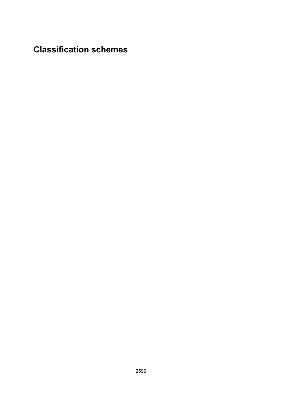# **Classification schemes**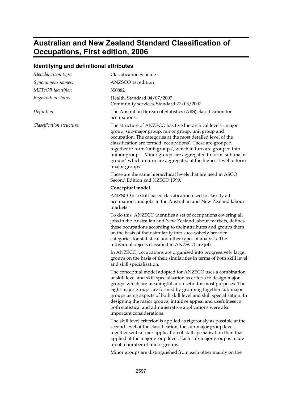## **Australian and New Zealand Standard Classification of Occupations, First edition, 2006**

### **Identifying and definitional attributes**

| Metadata item type:       | <b>Classification Scheme</b>                                                                                                                                                                                                                                                                                                                                                                                                                                                                             |
|---------------------------|----------------------------------------------------------------------------------------------------------------------------------------------------------------------------------------------------------------------------------------------------------------------------------------------------------------------------------------------------------------------------------------------------------------------------------------------------------------------------------------------------------|
| Synonymous names:         | ANZSCO 1st edition                                                                                                                                                                                                                                                                                                                                                                                                                                                                                       |
| METeOR identifier:        | 350882                                                                                                                                                                                                                                                                                                                                                                                                                                                                                                   |
| Registration status:      | Health, Standard 04/07/2007<br>Community services, Standard 27/03/2007                                                                                                                                                                                                                                                                                                                                                                                                                                   |
| Definition:               | The Australian Bureau of Statistics (ABS) classification for<br>occupations.                                                                                                                                                                                                                                                                                                                                                                                                                             |
| Classification structure: | The structure of ANZSCO has five hierarchical levels - major<br>group, sub-major group, minor group, unit group and<br>occupation. The categories at the most detailed level of the<br>classification are termed 'occupations'. These are grouped<br>together to form 'unit groups', which in turn are grouped into<br>'minor groups'. Minor groups are aggregated to form 'sub-major<br>groups' which in turn are aggregated at the highest level to form<br>'major groups'.                            |
|                           | These are the same hierarchical levels that are used in ASCO<br>Second Edition and NZSCO 1999.                                                                                                                                                                                                                                                                                                                                                                                                           |
|                           | Conceptual model                                                                                                                                                                                                                                                                                                                                                                                                                                                                                         |
|                           | ANZSCO is a skill-based classification used to classify all<br>occupations and jobs in the Australian and New Zealand labour<br>markets.                                                                                                                                                                                                                                                                                                                                                                 |
|                           | To do this, ANZSCO identifies a set of occupations covering all<br>jobs in the Australian and New Zealand labour markets, defines<br>these occupations according to their attributes and groups them<br>on the basis of their similarity into successively broader<br>categories for statistical and other types of analysis. The<br>individual objects classified in ANZSCO are jobs.                                                                                                                   |
|                           | In ANZSCO, occupations are organised into progressively larger<br>groups on the basis of their similarities in terms of both skill level<br>and skill specialisation.                                                                                                                                                                                                                                                                                                                                    |
|                           | The conceptual model adopted for ANZSCO uses a combination<br>of skill level and skill specialisation as criteria to design major<br>groups which are meaningful and useful for most purposes. The<br>eight major groups are formed by grouping together sub-major<br>groups using aspects of both skill level and skill specialisation. In<br>designing the major groups, intuitive appeal and usefulness in<br>both statistical and administrative applications were also<br>important considerations. |
|                           | The skill level criterion is applied as rigorously as possible at the<br>second level of the classification, the sub-major group level,<br>together with a finer application of skill specialisation than that<br>applied at the major group level. Each sub-major group is made                                                                                                                                                                                                                         |

Minor groups are distinguished from each other mainly on the

up of a number of minor groups.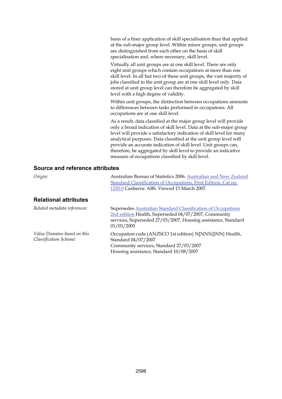basis of a finer application of skill specialisation than that applied at the sub-major group level. Within minor groups, unit groups are distinguished from each other on the basis of skill specialisation and, where necessary, skill level.

Virtually all unit groups are at one skill level. There are only eight unit groups which contain occupations at more than one skill level. In all but two of these unit groups, the vast majority of jobs classified to the unit group are at one skill level only. Data stored at unit group level can therefore be aggregated by skill level with a high degree of validity.

Within unit groups, the distinction between occupations amounts to differences between tasks performed in occupations. All occupations are at one skill level.

As a result, data classified at the major group level will provide only a broad indication of skill level. Data at the sub-major group level will provide a satisfactory indication of skill level for many analytical purposes. Data classified at the unit group level will provide an accurate indication of skill level. Unit groups can, therefore, be aggregated by skill level to provide an indicative measure of occupations classified by skill level.

| Origin:                                               | Australian Bureau of Statistics 2006. Australian and New Zealand<br>Standard Classification of Occupations, First Edition, Cat no.<br>1220.0 Canberra: ABS. Viewed 13 March 2007.                   |
|-------------------------------------------------------|-----------------------------------------------------------------------------------------------------------------------------------------------------------------------------------------------------|
| <b>Relational attributes</b>                          |                                                                                                                                                                                                     |
| Related metadata references:                          | Supersedes Australian Standard Classification of Occupations<br>2nd edition Health, Superseded 04/07/2007, Community<br>services, Superseded 27/03/2007, Housing assistance, Standard<br>01/03/2005 |
| Value Domains based on this<br>Classification Scheme: | Occupation code (ANZSCO 1st edition) N[NNN]{NN} Health,<br>Standard 04/07/2007<br>Community services, Standard 27/03/2007<br>Housing assistance, Standard 10/08/2007                                |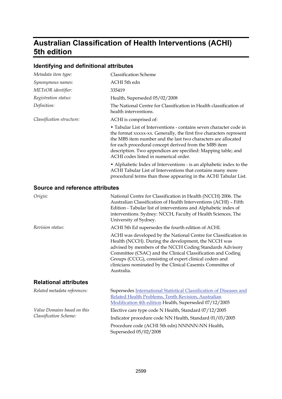## **Australian Classification of Health Interventions (ACHI) 5th edition**

### **Identifying and definitional attributes**

| Metadata item type:                    | <b>Classification Scheme</b>                                                                                                                                                                                                                                                                                                                                                            |
|----------------------------------------|-----------------------------------------------------------------------------------------------------------------------------------------------------------------------------------------------------------------------------------------------------------------------------------------------------------------------------------------------------------------------------------------|
| Synonymous names:                      | ACHI 5th edn                                                                                                                                                                                                                                                                                                                                                                            |
| METeOR identifier:                     | 335419                                                                                                                                                                                                                                                                                                                                                                                  |
| Registration status:                   | Health, Superseded 05/02/2008                                                                                                                                                                                                                                                                                                                                                           |
| Definition:                            | The National Centre for Classification in Health classification of<br>health interventions.                                                                                                                                                                                                                                                                                             |
| Classification structure:              | ACHI is comprised of:                                                                                                                                                                                                                                                                                                                                                                   |
|                                        | • Tabular List of Interventions - contains seven character code in<br>the format xxxxx-xx. Generally, the first five characters represent<br>the MBS item number and the last two characters are allocated<br>for each procedural concept derived from the MBS item<br>description. Two appendices are specified: Mapping table; and<br>ACHI codes listed in numerical order.           |
|                                        | • Alphabetic Index of Interventions - is an alphabetic index to the<br>ACHI Tabular List of Interventions that contains many more<br>procedural terms than those appearing in the ACHI Tabular List.                                                                                                                                                                                    |
| <b>Source and reference attributes</b> |                                                                                                                                                                                                                                                                                                                                                                                         |
| Origin:                                | National Centre for Classification in Health (NCCH) 2006. The<br>Australian Classification of Health Interventions (ACHI) - Fifth<br>Edition - Tabular list of interventions and Alphabetic index of<br>interventions. Sydney: NCCH, Faculty of Health Sciences, The<br>University of Sydney.                                                                                           |
| Revision status:                       | ACHI 5th Ed supersedes the fourth edition of ACHI.                                                                                                                                                                                                                                                                                                                                      |
|                                        | ACHI was developed by the National Centre for Classification in<br>Health (NCCH). During the development, the NCCH was<br>advised by members of the NCCH Coding Standards Advisory<br>Committee (CSAC) and the Clinical Classification and Coding<br>Groups (CCCG), consisting of expert clinical coders and<br>clinicians nominated by the Clinical Casemix Committee of<br>Australia. |
| <b>Relational attributes</b>           |                                                                                                                                                                                                                                                                                                                                                                                         |
| Related metadata references:           | Supersedes International Statistical Classification of Diseases and<br>Related Health Problems, Tenth Revision, Australian<br>Modification 4th edition Health, Superseded 07/12/2005                                                                                                                                                                                                    |
| Value Domains based on this            | Elective care type code N Health, Standard 07/12/2005                                                                                                                                                                                                                                                                                                                                   |
| Classification Scheme:                 | Indicator procedure code NN Health, Standard 01/03/2005                                                                                                                                                                                                                                                                                                                                 |
|                                        | Procedure code (ACHI 5th edn) NNNNN-NN Health,<br>Superseded 05/02/2008                                                                                                                                                                                                                                                                                                                 |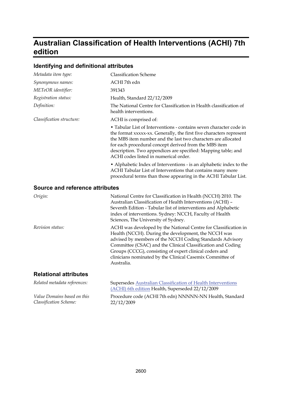## **Australian Classification of Health Interventions (ACHI) 7th edition**

### **Identifying and definitional attributes**

| Metadata item type:                    | <b>Classification Scheme</b>                                                                                                                                                                                                                                                                                                                                                            |
|----------------------------------------|-----------------------------------------------------------------------------------------------------------------------------------------------------------------------------------------------------------------------------------------------------------------------------------------------------------------------------------------------------------------------------------------|
| Synonymous names:                      | ACHI 7th edn                                                                                                                                                                                                                                                                                                                                                                            |
| METeOR identifier:                     | 391343                                                                                                                                                                                                                                                                                                                                                                                  |
| Registration status:                   | Health, Standard 22/12/2009                                                                                                                                                                                                                                                                                                                                                             |
| Definition:                            | The National Centre for Classification in Health classification of<br>health interventions.                                                                                                                                                                                                                                                                                             |
| Classification structure:              | ACHI is comprised of:                                                                                                                                                                                                                                                                                                                                                                   |
|                                        | • Tabular List of Interventions - contains seven character code in<br>the format xxxxx-xx. Generally, the first five characters represent<br>the MBS item number and the last two characters are allocated<br>for each procedural concept derived from the MBS item<br>description. Two appendices are specified: Mapping table; and<br>ACHI codes listed in numerical order.           |
|                                        | • Alphabetic Index of Interventions - is an alphabetic index to the<br>ACHI Tabular List of Interventions that contains many more<br>procedural terms than those appearing in the ACHI Tabular List.                                                                                                                                                                                    |
| <b>Source and reference attributes</b> |                                                                                                                                                                                                                                                                                                                                                                                         |
| Origin:                                | National Centre for Classification in Health (NCCH) 2010. The<br>Australian Classification of Health Interventions (ACHI) -<br>Seventh Edition - Tabular list of interventions and Alphabetic<br>index of interventions. Sydney: NCCH, Faculty of Health<br>Sciences, The University of Sydney.                                                                                         |
| <i>Revision status:</i>                | ACHI was developed by the National Centre for Classification in<br>Health (NCCH). During the development, the NCCH was<br>advised by members of the NCCH Coding Standards Advisory<br>Committee (CSAC) and the Clinical Classification and Coding<br>Groups (CCCG), consisting of expert clinical coders and<br>clinicians nominated by the Clinical Casemix Committee of<br>Australia. |
| <b>Relational attributes</b>           |                                                                                                                                                                                                                                                                                                                                                                                         |
| Related metadata references:           | Supersedes Australian Classification of Health Interventions<br>(ACHI) 6th edition Health, Superseded 22/12/2009                                                                                                                                                                                                                                                                        |
| Value Domains based on this            | Procedure code (ACHI 7th edn) NNNNN-NN Health, Standard                                                                                                                                                                                                                                                                                                                                 |

*Classification Scheme:*

Procedure code (ACHI 7th edn) NNNNN-NN Health, Standard 22/12/2009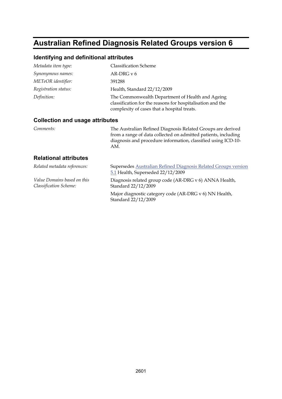## **Australian Refined Diagnosis Related Groups version 6**

#### **Identifying and definitional attributes**

| Metadata item type:  | <b>Classification Scheme</b>                                                                                                                                  |
|----------------------|---------------------------------------------------------------------------------------------------------------------------------------------------------------|
| Synonymous names:    | AR-DRG $v$ 6                                                                                                                                                  |
| METeOR identifier:   | 391288                                                                                                                                                        |
| Registration status: | Health, Standard 22/12/2009                                                                                                                                   |
| Definition:          | The Commonwealth Department of Health and Ageing<br>classification for the reasons for hospitalisation and the<br>complexity of cases that a hospital treats. |

#### **Collection and usage attributes**

*Comments:* The Australian Refined Diagnosis Related Groups are derived from a range of data collected on admitted patients, including diagnosis and procedure information, classified using ICD-10- AM.

| Related metadata references:                          | Supersedes Australian Refined Diagnosis Related Groups version<br>5.1 Health, Superseded 22/12/2009 |
|-------------------------------------------------------|-----------------------------------------------------------------------------------------------------|
| Value Domains based on this<br>Classification Scheme: | Diagnosis related group code (AR-DRG v 6) ANNA Health,<br>Standard 22/12/2009                       |
|                                                       | Major diagnostic category code (AR-DRG v 6) NN Health,<br>Standard 22/12/2009                       |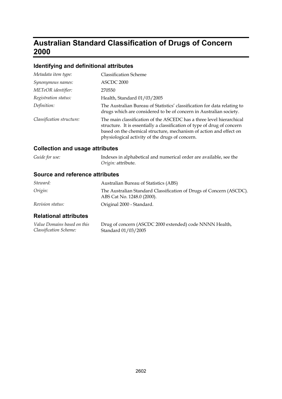## **Australian Standard Classification of Drugs of Concern 2000**

### **Identifying and definitional attributes**

| Metadata item type:       | <b>Classification Scheme</b>                                                                                                                                                                                                                                              |
|---------------------------|---------------------------------------------------------------------------------------------------------------------------------------------------------------------------------------------------------------------------------------------------------------------------|
| Synonymous names:         | ASCDC 2000                                                                                                                                                                                                                                                                |
| METeOR identifier:        | 270550                                                                                                                                                                                                                                                                    |
| Registration status:      | Health, Standard 01/03/2005                                                                                                                                                                                                                                               |
| Definition:               | The Australian Bureau of Statistics' classification for data relating to<br>drugs which are considered to be of concern in Australian society.                                                                                                                            |
| Classification structure: | The main classification of the ASCEDC has a three level hierarchical<br>structure. It is essentially a classification of type of drug of concern<br>based on the chemical structure, mechanism of action and effect on<br>physiological activity of the drugs of concern. |

### **Collection and usage attributes**

| Guide for use: | Indexes in alphabetical and numerical order are available, see the |
|----------------|--------------------------------------------------------------------|
|                | Origin: attribute.                                                 |

#### **Source and reference attributes**

| Steward:                | Australian Bureau of Statistics (ABS)                                                             |
|-------------------------|---------------------------------------------------------------------------------------------------|
| Origin:                 | The Australian Standard Classification of Drugs of Concern (ASCDC).<br>ABS Cat No. 1248.0 (2000). |
| <i>Revision status:</i> | Original 2000 - Standard.                                                                         |

| Value Domains based on this | Drug of concern (ASCDC 2000 extended) code NNNN Health, |
|-----------------------------|---------------------------------------------------------|
| Classification Scheme:      | Standard 01/03/2005                                     |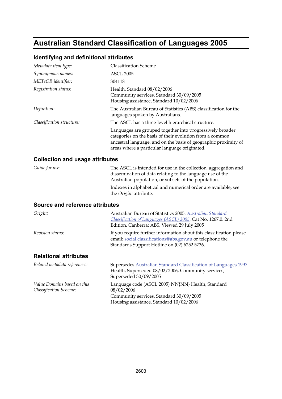## **Australian Standard Classification of Languages 2005**

### **Identifying and definitional attributes**

| Metadata item type:       | <b>Classification Scheme</b>                                                                                                                                                                                                              |
|---------------------------|-------------------------------------------------------------------------------------------------------------------------------------------------------------------------------------------------------------------------------------------|
| Synonymous names:         | <b>ASCL 2005</b>                                                                                                                                                                                                                          |
| METeOR identifier:        | 304118                                                                                                                                                                                                                                    |
| Registration status:      | Health, Standard 08/02/2006<br>Community services, Standard 30/09/2005<br>Housing assistance, Standard 10/02/2006                                                                                                                         |
| Definition:               | The Australian Bureau of Statistics (ABS) classification for the<br>languages spoken by Australians.                                                                                                                                      |
| Classification structure: | The ASCL has a three-level hierarchical structure.                                                                                                                                                                                        |
|                           | Languages are grouped together into progressively broader<br>categories on the basis of their evolution from a common<br>ancestral language, and on the basis of geographic proximity of<br>areas where a particular language originated. |
|                           |                                                                                                                                                                                                                                           |

### **Collection and usage attributes**

| Guide for use: | The ASCL is intended for use in the collection, aggregation and                                  |
|----------------|--------------------------------------------------------------------------------------------------|
|                | dissemination of data relating to the language use of the                                        |
|                | Australian population, or subsets of the population.                                             |
|                | Indexes in alphabetical and numerical order are available, see<br>the <i>Origin</i> : attribute. |
|                |                                                                                                  |

| Origin:                                               | Australian Bureau of Statistics 2005. Australian Standard<br>Classification of Languages (ASCL) 2005. Cat No. 1267.0. 2nd<br>Edition, Canberra: ABS. Viewed 29 July 2005         |
|-------------------------------------------------------|----------------------------------------------------------------------------------------------------------------------------------------------------------------------------------|
| Revision status:                                      | If you require further information about this classification please<br>email: social.classifications@abs.gov.au or telephone the<br>Standards Support Hotline on (02) 6252 5736. |
| <b>Relational attributes</b>                          |                                                                                                                                                                                  |
| Related metadata references:                          | Supersedes Australian Standard Classification of Languages 1997<br>Health, Superseded 08/02/2006, Community services,<br>Superseded 30/09/2005                                   |
| Value Domains based on this<br>Classification Scheme: | Language code (ASCL 2005) NN{NN} Health, Standard<br>08/02/2006<br>Community services, Standard 30/09/2005<br>Housing assistance, Standard 10/02/2006                            |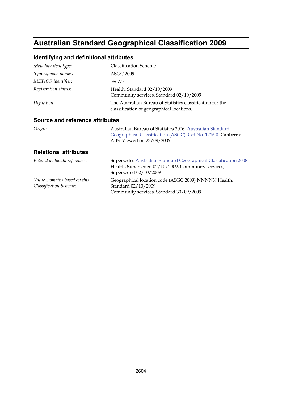# **Australian Standard Geographical Classification 2009**

### **Identifying and definitional attributes**

| Metadata item type:  | <b>Classification Scheme</b>                                                                            |
|----------------------|---------------------------------------------------------------------------------------------------------|
| Synonymous names:    | <b>ASGC 2009</b>                                                                                        |
| METeOR identifier:   | 386777                                                                                                  |
| Registration status: | Health, Standard 02/10/2009<br>Community services, Standard 02/10/2009                                  |
| Definition:          | The Australian Bureau of Statistics classification for the<br>classification of geographical locations. |

#### **Source and reference attributes**

| Origin: | Australian Bureau of Statistics 2006. Australian Standard     |
|---------|---------------------------------------------------------------|
|         | Geographical Classification (ASGC). Cat No. 1216.0. Canberra: |
|         | ABS. Viewed on 23/09/2009                                     |
|         |                                                               |

| Related metadata references:                          | Supersedes Australian Standard Geographical Classification 2008<br>Health, Superseded 02/10/2009, Community services,<br>Superseded 02/10/2009 |
|-------------------------------------------------------|------------------------------------------------------------------------------------------------------------------------------------------------|
| Value Domains based on this<br>Classification Scheme: | Geographical location code (ASGC 2009) NNNNN Health,<br>Standard 02/10/2009<br>Community services, Standard 30/09/2009                         |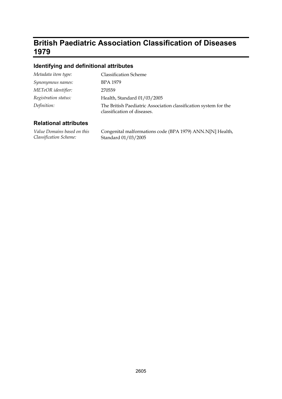## **British Paediatric Association Classification of Diseases 1979**

### **Identifying and definitional attributes**

| Metadata item type:  | <b>Classification Scheme</b>                                                                    |
|----------------------|-------------------------------------------------------------------------------------------------|
| Synonymous names:    | BPA 1979                                                                                        |
| METeOR identifier:   | 270559                                                                                          |
| Registration status: | Health, Standard 01/03/2005                                                                     |
| Definition:          | The British Paediatric Association classification system for the<br>classification of diseases. |

| Value Domains based on this | Congenital malformations code (BPA 1979) ANN.N[N] Health, |
|-----------------------------|-----------------------------------------------------------|
| Classification Scheme:      | Standard 01/03/2005                                       |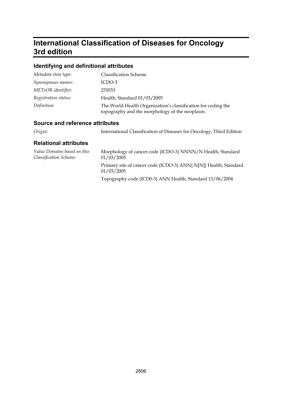## **International Classification of Diseases for Oncology 3rd edition**

### **Identifying and definitional attributes**

| Metadata item type:  | <b>Classification Scheme</b>                                                                                    |
|----------------------|-----------------------------------------------------------------------------------------------------------------|
| Synonymous names:    | ICDO-3                                                                                                          |
| METeOR identifier:   | 270553                                                                                                          |
| Registration status: | Health, Standard 01/03/2005                                                                                     |
| Definition:          | The World Health Organization's classification for coding the<br>topography and the morphology of the neoplasm. |

### **Source and reference attributes**

| Origin: |  | International Classification of Diseases for Oncology, Third Edition |  |
|---------|--|----------------------------------------------------------------------|--|
|         |  |                                                                      |  |

| Value Domains based on this<br><b>Classification Scheme:</b> | Morphology of cancer code (ICDO-3) NNNN/N Health, Standard<br>01/03/2005       |
|--------------------------------------------------------------|--------------------------------------------------------------------------------|
|                                                              | Primary site of cancer code (ICDO-3) ANN{.N[N]} Health, Standard<br>01/03/2005 |
|                                                              | Topography code (ICD0-3) ANN Health, Standard 13/06/2004                       |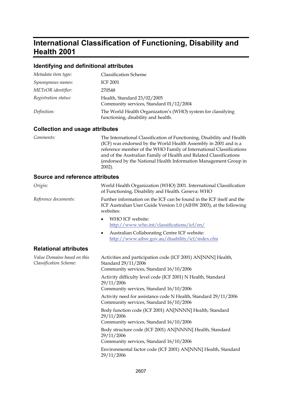## **International Classification of Functioning, Disability and Health 2001**

#### **Identifying and definitional attributes**

| Metadata item type:  | <b>Classification Scheme</b>                                                                        |
|----------------------|-----------------------------------------------------------------------------------------------------|
| Synonymous names:    | <b>ICF 2001</b>                                                                                     |
| METeOR identifier:   | 270548                                                                                              |
| Registration status: | Health, Standard 23/02/2005<br>Community services, Standard 01/12/2004                              |
| Definition:          | The World Health Organization's (WHO) system for classifying<br>functioning, disability and health. |

#### **Collection and usage attributes**

| Comments: |
|-----------|
|-----------|

*Comments:* The International Classification of Functioning, Disability and Health (ICF) was endorsed by the World Health Assembly in 2001 and is a reference member of the WHO Family of International Classifications and of the Australian Family of Health and Related Classifications (endorsed by the National Health Information Management Group in 2002).

| Origin:                                               | World Health Organization (WHO) 2001. International Classification<br>of Functioning, Disability and Health. Geneva: WHO                                  |  |  |
|-------------------------------------------------------|-----------------------------------------------------------------------------------------------------------------------------------------------------------|--|--|
| Reference documents:                                  | Further information on the ICF can be found in the ICF itself and the<br>ICF Australian User Guide Version 1.0 (AIHW 2003), at the following<br>websites: |  |  |
|                                                       | WHO ICF website:<br>$\bullet$<br>http://www.who.int/classifications/icf/en/                                                                               |  |  |
|                                                       | Australian Collaborating Centre ICF website:<br>٠<br>http://www.aihw.gov.au/disability/icf/index.cfm                                                      |  |  |
| <b>Relational attributes</b>                          |                                                                                                                                                           |  |  |
| Value Domains based on this<br>Classification Scheme: | Activities and participation code (ICF 2001) AN[NNN] Health,<br>Standard 29/11/2006<br>Community services, Standard 16/10/2006                            |  |  |
|                                                       | Activity difficulty level code (ICF 2001) N Health, Standard<br>29/11/2006<br>Community services, Standard 16/10/2006                                     |  |  |
|                                                       | Activity need for assistance code N Health, Standard 29/11/2006<br>Community services, Standard 16/10/2006                                                |  |  |
|                                                       | Body function code (ICF 2001) AN[NNNN] Health, Standard<br>29/11/2006<br>Community services, Standard 16/10/2006                                          |  |  |
|                                                       | Body structure code (ICF 2001) AN[NNNN] Health, Standard<br>29/11/2006<br>Community services, Standard 16/10/2006                                         |  |  |
|                                                       | Environmental factor code (ICF 2001) AN[NNN] Health, Standard<br>29/11/2006                                                                               |  |  |
|                                                       |                                                                                                                                                           |  |  |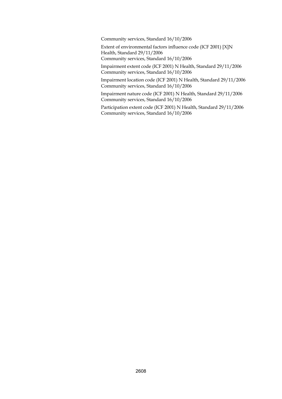Community services, Standard 16/10/2006

Extent of environmental factors influence code (ICF 2001) [X]N Health, Standard 29/11/2006 Community services, Standard 16/10/2006

Impairment extent code (ICF 2001) N Health, Standard 29/11/2006 Community services, Standard 16/10/2006

Impairment location code (ICF 2001) N Health, Standard 29/11/2006 Community services, Standard 16/10/2006

Impairment nature code (ICF 2001) N Health, Standard 29/11/2006 Community services, Standard 16/10/2006

Participation extent code (ICF 2001) N Health, Standard 29/11/2006 Community services, Standard 16/10/2006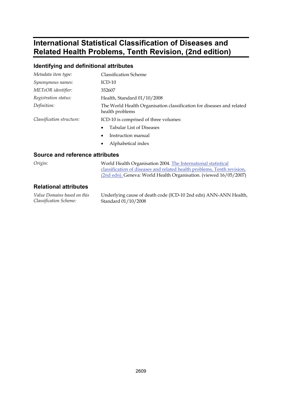## **International Statistical Classification of Diseases and Related Health Problems, Tenth Revision, (2nd edition)**

### **Identifying and definitional attributes**

| Metadata item type:       | <b>Classification Scheme</b>                                                             |
|---------------------------|------------------------------------------------------------------------------------------|
| Synonymous names:         | $ICD-10$                                                                                 |
| METeOR identifier:        | 352607                                                                                   |
| Registration status:      | Health, Standard 01/10/2008                                                              |
| Definition:               | The World Health Organisation classification for diseases and related<br>health problems |
| Classification structure: | ICD-10 is comprised of three volumes:                                                    |
|                           | <b>Tabular List of Diseases</b><br>$\bullet$                                             |
|                           | Instruction manual<br>$\bullet$                                                          |

Alphabetical index

#### **Source and reference attributes**

*Origin:* World Health Organisation 2004. [The International statistical](http://www.who.int/classifications/apps/icd/icd10online/)  [classification of diseases and related health problems, Tenth revision,](http://www.who.int/classifications/apps/icd/icd10online/)  [\(2nd edn\).](http://www.who.int/classifications/apps/icd/icd10online/) Geneva: World Health Organisation. (viewed 16/05/2007)

#### **Relational attributes**

*Value Domains based on this Classification Scheme:*

Underlying cause of death code (ICD-10 2nd edn) ANN-ANN Health, Standard 01/10/2008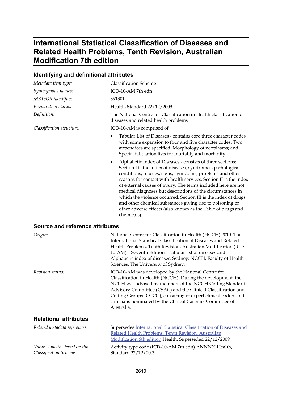## **International Statistical Classification of Diseases and Related Health Problems, Tenth Revision, Australian Modification 7th edition**

### **Identifying and definitional attributes**

| Metadata item type:                                   | <b>Classification Scheme</b>                                                                                                                                                                                                                                                                                                                                                                                                                                                                                                                                                                                 |
|-------------------------------------------------------|--------------------------------------------------------------------------------------------------------------------------------------------------------------------------------------------------------------------------------------------------------------------------------------------------------------------------------------------------------------------------------------------------------------------------------------------------------------------------------------------------------------------------------------------------------------------------------------------------------------|
| Synonymous names:                                     | ICD-10-AM 7th edn                                                                                                                                                                                                                                                                                                                                                                                                                                                                                                                                                                                            |
| METeOR identifier:                                    | 391301                                                                                                                                                                                                                                                                                                                                                                                                                                                                                                                                                                                                       |
| Registration status:                                  | Health, Standard 22/12/2009                                                                                                                                                                                                                                                                                                                                                                                                                                                                                                                                                                                  |
| Definition:                                           | The National Centre for Classification in Health classification of<br>diseases and related health problems                                                                                                                                                                                                                                                                                                                                                                                                                                                                                                   |
| Classification structure:                             | ICD-10-AM is comprised of:                                                                                                                                                                                                                                                                                                                                                                                                                                                                                                                                                                                   |
|                                                       | Tabular List of Diseases - contains core three character codes<br>with some expansion to four and five character codes. Two<br>appendices are specified: Morphology of neoplasms; and<br>Special tabulation lists for mortality and morbidity.                                                                                                                                                                                                                                                                                                                                                               |
|                                                       | Alphabetic Index of Diseases - consists of three sections:<br>٠<br>Section I is the index of diseases, syndromes, pathological<br>conditions, injuries, signs, symptoms, problems and other<br>reasons for contact with health services. Section II is the index<br>of external causes of injury. The terms included here are not<br>medical diagnoses but descriptions of the circumstances in<br>which the violence occurred. Section III is the index of drugs<br>and other chemical substances giving rise to poisoning or<br>other adverse effects (also known as the Table of drugs and<br>chemicals). |
| <b>Source and reference attributes</b>                |                                                                                                                                                                                                                                                                                                                                                                                                                                                                                                                                                                                                              |
| Origin:                                               | National Centre for Classification in Health (NCCH) 2010. The<br>International Statistical Classification of Diseases and Related<br>Health Problems, Tenth Revision, Australian Modification (ICD-<br>10-AM) - Seventh Edition - Tabular list of diseases and<br>Alphabetic index of diseases. Sydney: NCCH, Faculty of Health<br>Sciences, The University of Sydney.                                                                                                                                                                                                                                       |
| Revision status:                                      | ICD-10-AM was developed by the National Centre for<br>Classification in Health (NCCH). During the development, the<br>NCCH was advised by members of the NCCH Coding Standards<br>Advisory Committee (CSAC) and the Clinical Classification and<br>Coding Groups (CCCG), consisting of expert clinical coders and<br>clinicians nominated by the Clinical Casemix Committee of<br>Australia.                                                                                                                                                                                                                 |
| <b>Relational attributes</b>                          |                                                                                                                                                                                                                                                                                                                                                                                                                                                                                                                                                                                                              |
| Related metadata references:                          | Supersedes International Statistical Classification of Diseases and<br>Related Health Problems, Tenth Revision, Australian<br>Modification 6th edition Health, Superseded 22/12/2009                                                                                                                                                                                                                                                                                                                                                                                                                         |
| Value Domains based on this<br>Classification Scheme: | Activity type code (ICD-10-AM 7th edn) ANNNN Health,<br>Standard 22/12/2009                                                                                                                                                                                                                                                                                                                                                                                                                                                                                                                                  |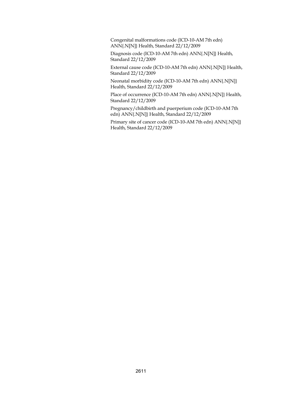Congenital malformations code (ICD-10-AM 7th edn) ANN{.N[N]} Health, Standard 22/12/2009

Diagnosis code (ICD-10-AM 7th edn) ANN{.N[N]} Health, Standard 22/12/2009

External cause code (ICD-10-AM 7th edn) ANN{.N[N]} Health, Standard 22/12/2009

Neonatal morbidity code (ICD-10-AM 7th edn) ANN{.N[N]} Health, Standard 22/12/2009

Place of occurrence (ICD-10-AM 7th edn) ANN{.N[N]} Health, Standard 22/12/2009

Pregnancy/childbirth and puerperium code (ICD-10-AM 7th edn) ANN{.N[N]} Health, Standard 22/12/2009

Primary site of cancer code (ICD-10-AM 7th edn) ANN{.N[N]} Health, Standard 22/12/2009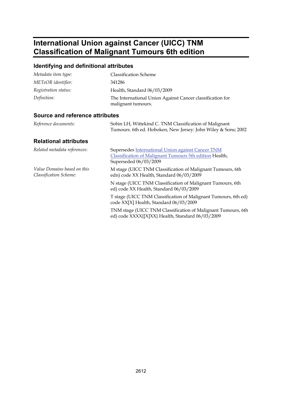## **International Union against Cancer (UICC) TNM Classification of Malignant Tumours 6th edition**

### **Identifying and definitional attributes**

| Metadata item type:  | <b>Classification Scheme</b>                                                    |
|----------------------|---------------------------------------------------------------------------------|
| METeOR identifier:   | 341286                                                                          |
| Registration status: | Health, Standard 06/03/2009                                                     |
| Definition:          | The International Union Against Cancer classification for<br>malignant tumours. |

| Reference documents:                                  | Sobin LH, Wittekind C. TNM Classification of Malignant<br>Tumours. 6th ed. Hoboken, New Jersey: John Wiley & Sons; 2002               |
|-------------------------------------------------------|---------------------------------------------------------------------------------------------------------------------------------------|
| <b>Relational attributes</b>                          |                                                                                                                                       |
| Related metadata references:                          | Supersedes International Union against Cancer TNM<br>Classification of Malignant Tumours 5th edition Health,<br>Superseded 06/03/2009 |
| Value Domains based on this<br>Classification Scheme: | M stage (UICC TNM Classification of Malignant Tumours, 6th<br>edn) code XX Health, Standard 06/03/2009                                |
|                                                       | N stage (UICC TNM Classification of Malignant Tumours, 6th<br>ed) code XX Health, Standard 06/03/2009                                 |
|                                                       | T stage (UICC TNM Classification of Malignant Tumours, 6th ed)<br>code XX[X] Health, Standard 06/03/2009                              |
|                                                       | TNM stage (UICC TNM Classification of Malignant Tumours, 6th<br>ed) code XXXX{[X]XX} Health, Standard 06/03/2009                      |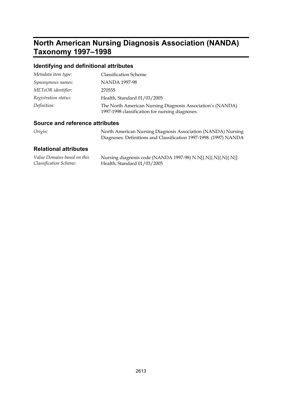## **North American Nursing Diagnosis Association (NANDA) Taxonomy 1997–1998**

### **Identifying and definitional attributes**

| Metadata item type:  | <b>Classification Scheme</b>                                                                                  |
|----------------------|---------------------------------------------------------------------------------------------------------------|
| Synonymous names:    | NANDA 1997-98                                                                                                 |
| METeOR identifier:   | 270555                                                                                                        |
| Registration status: | Health, Standard 01/03/2005                                                                                   |
| Definition:          | The North American Nursing Diagnosis Association's (NANDA)<br>1997-1998 classification for nursing diagnoses. |

### **Source and reference attributes**

| Origin: | North American Nursing Diagnosis Association (NANDA) Nursing      |
|---------|-------------------------------------------------------------------|
|         | Diagnoses: Definitions and Classification 1997-1998. (1997) NANDA |
|         |                                                                   |

| Value Domains based on this | Nursing diagnosis code (NANDA 1997-98) N.N[{.N}{.N}{.N}{.N}] |
|-----------------------------|--------------------------------------------------------------|
| Classification Scheme:      | Health, Standard $01/03/2005$                                |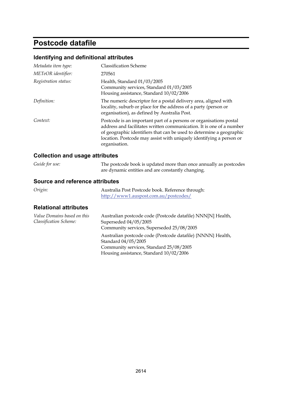## **Postcode datafile**

### **Identifying and definitional attributes**

| Metadata item type:  | <b>Classification Scheme</b>                                                                                                                                                                                                                                                                               |
|----------------------|------------------------------------------------------------------------------------------------------------------------------------------------------------------------------------------------------------------------------------------------------------------------------------------------------------|
| METeOR identifier:   | 270561                                                                                                                                                                                                                                                                                                     |
| Registration status: | Health, Standard 01/03/2005<br>Community services, Standard 01/03/2005<br>Housing assistance, Standard 10/02/2006                                                                                                                                                                                          |
| Definition:          | The numeric descriptor for a postal delivery area, aligned with<br>locality, suburb or place for the address of a party (person or<br>organisation), as defined by Australia Post.                                                                                                                         |
| Context:             | Postcode is an important part of a persons or organisations postal<br>address and facilitates written communication. It is one of a number<br>of geographic identifiers that can be used to determine a geographic<br>location. Postcode may assist with uniquely identifying a person or<br>organisation. |

### **Collection and usage attributes**

| Guide for use: | The postcode book is updated more than once annually as postcodes |
|----------------|-------------------------------------------------------------------|
|                | are dynamic entities and are constantly changing.                 |

| Origin:                                                             | Australia Post Postcode book. Reference through:<br>http://www1.auspost.com.au/postcodes/ |
|---------------------------------------------------------------------|-------------------------------------------------------------------------------------------|
| <b>Relational attributes</b>                                        |                                                                                           |
| <i>Value Domains based on this</i><br><b>Classification Scheme:</b> | Australian postcode code (Postcode datafile) NNN[N] Health,<br>Superseded 04/05/2005      |

| utue Domunis buseu on this | Australian posicoue coue (I osicoue datame) initially i realing |
|----------------------------|-----------------------------------------------------------------|
| lassification Scheme:      | Superseded 04/05/2005                                           |
|                            | Community services, Superseded 25/08/2005                       |
|                            | Australian postcode code (Postcode datafile) {NNNN} Health,     |
|                            | Standard 04/05/2005                                             |
|                            | Community services, Standard 25/08/2005                         |
|                            | Housing assistance, Standard 10/02/2006                         |
|                            |                                                                 |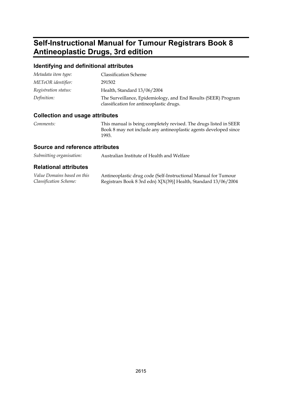## **Self-Instructional Manual for Tumour Registrars Book 8 Antineoplastic Drugs, 3rd edition**

#### **Identifying and definitional attributes**

| Metadata item type:  | <b>Classification Scheme</b>                                                                               |
|----------------------|------------------------------------------------------------------------------------------------------------|
| METeOR identifier:   | 291502                                                                                                     |
| Registration status: | Health, Standard 13/06/2004                                                                                |
| Definition:          | The Surveillance, Epidemiology, and End Results (SEER) Program<br>classification for antineoplastic drugs. |

#### **Collection and usage attributes**

*Comments:* This manual is being completely revised. The drugs listed in SEER Book 8 may not include any antineoplastic agents developed since 1993.

#### **Source and reference attributes**

| Submitting organisation: | Australian Institute of Health and Welfare |
|--------------------------|--------------------------------------------|
|                          |                                            |

| Value Domains based on this | Antineoplastic drug code (Self-Instructional Manual for Tumour  |
|-----------------------------|-----------------------------------------------------------------|
| Classification Scheme:      | Registrars Book 8 3rd edn) X[X(39)] Health, Standard 13/06/2004 |